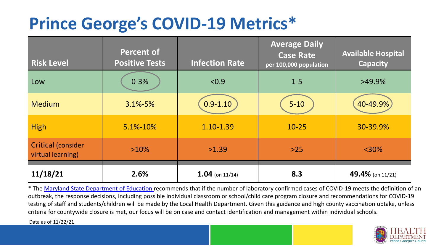## **Prince George's COVID-19 Metrics\***

| <b>Risk Level</b>                       | <b>Percent of</b><br><b>Positive Tests</b> | <b>Infection Rate</b> | <b>Average Daily</b><br><b>Case Rate</b><br>per 100,000 population | <b>Available Hospital</b><br><b>Capacity</b> |
|-----------------------------------------|--------------------------------------------|-----------------------|--------------------------------------------------------------------|----------------------------------------------|
| Low                                     | $0 - 3%$                                   | < 0.9                 | $1 - 5$                                                            | $>49.9\%$                                    |
| <b>Medium</b>                           | $3.1\% - 5\%$                              | $0.9 - 1.10$          | $5 - 10$                                                           | 40-49.9%                                     |
| <b>High</b>                             | 5.1%-10%                                   | 1.10-1.39             | $10 - 25$                                                          | 30-39.9%                                     |
| Critical (consider<br>virtual learning) | $>10\%$                                    | >1.39                 | $>25$                                                              | $<$ 30%                                      |
| 11/18/21                                | 2.6%                                       | $1.04$ (on 11/14)     | 8.3                                                                | 49.4% (on 11/21)                             |

\* The [Maryland State Department of Education r](https://earlychildhood.marylandpublicschools.org/system/files/filedepot/3/covid_guidance_full_080420.pdf)ecommends that if the number of laboratory confirmed cases of COVID-19 meets the definition of an outbreak, the response decisions, including possible individual classroom or school/child care program closure and recommendations for COVID-19 testing of staff and students/children will be made by the Local Health Department. Given this guidance and high county vaccination uptake, unless criteria for countywide closure is met, our focus will be on case and contact identification and management within individual schools.

Data as of 11/22/21

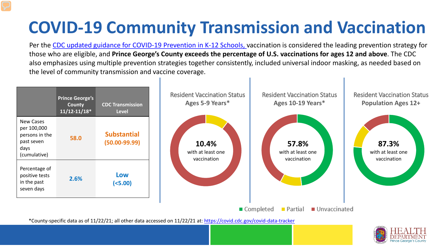# **COVID-19 Community Transmission and Vaccination**

Per the [CDC updated guidance for COVID-19 Prevention in K-12 Schools,](https://www.cdc.gov/coronavirus/2019-ncov/community/schools-childcare/k-12-guidance.html) vaccination is considered the leading prevention strategy for those who are eligible, and **Prince George's County exceeds the percentage of U.S. vaccinations for ages 12 and above**. The CDC also emphasizes using multiple prevention strategies together consistently, included universal indoor masking, as needed based on the level of community transmission and vaccine coverage.



\*County-specific data as of 11/22/21; all other data accessed on 11/22/21 at:<https://covid.cdc.gov/covid-data-tracker>

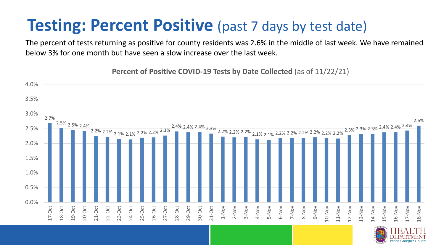### **Testing: Percent Positive** (past 7 days by test date)

The percent of tests returning as positive for county residents was 2.6% in the middle of last week. We have remained below 3% for one month but have seen a slow increase over the last week.

2.7% 2.5% 2.5% 2.4% 2.2% 2.2% 2.1% 2.1% 2.2% 2.2% 2.3% 2.4% 2.4% 2.4% 2.3% 2.2% 2.2% 2.2% 2.1% 2.1% 2.2% 2.2% 2.2% 2.2% 2.2% 2.2% 2.3% 2.3% 2.3% 2.4% 2.4% 2.4% 2.6% 0.0% 0.5% 1.0% 1.5% 2.0% 2.5% 3.0% 3.5% 4.0% 17-Oct 18-Oct 19-Oct 20-Oct 21-Oct 22-Oct 23-Oct 24-Oct 25-Oct 26-Oct 27-Oct 28-Oct 29-Oct 30-Oct 31-Oct 1-Nov 2-Nov 3-Nov 4-Nov 5-Nov 6-Nov 7-Nov 8-Nov 9-Nov 10-Nov 11-Nov 12-Nov 13-Nov 14-Nov 15-Nov 16-Nov 17-Nov 18-Nov

**Percent of Positive COVID-19 Tests by Date Collected** (as of 11/22/21)

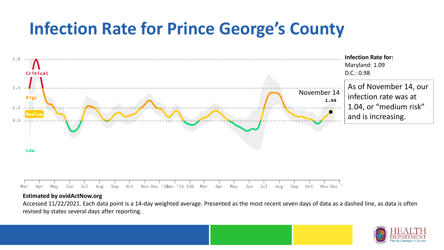## **Infection Rate for Prince George's County**



#### **Estimated by ovidActNow.org**

Accessed 11/22/2021. Each data point is a 14-day weighted average. Presented as the most recent seven days of data as a dashed line, as data is often revised by states several days after reporting.

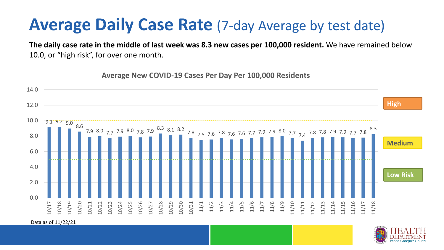#### **Average Daily Case Rate** (7-day Average by test date)

**The daily case rate in the middle of last week was 8.3 new cases per 100,000 resident.** We have remained below 10.0, or "high risk", for over one month.

 $-9.1 \cdot 9.2 \cdot 9.0 \cdot 8.6$ 7.9 8.0 7.7 7.9 8.0 7.8 7.9 8.3 8.1 8.2 7.8 7.5 7.6 7.8 7.6 7.6 7.7 7.9 7.9 8.0 7.7 7.4 7.8 7.8 7.9 7.9 7.7 7.8 8.3  $0.0$ 2.0 4.0 6.0 8.0 10.0 12.0 14.0 10/17 10/18 10/19 10/20 10/21 10/22 10/23 10/24 10/25 10/26 10/27 10/28 10/29 10/30 10/31 11/1 11/2 11/3 11/4 11/5 11/6 11/7 11/8 11/9 11/10 11/11 11/12 11/13 11/14 11/15 11/16 11/17 11/18 **Low Risk Medium High**

**Average New COVID-19 Cases Per Day Per 100,000 Residents**

Data as of 11/22/21